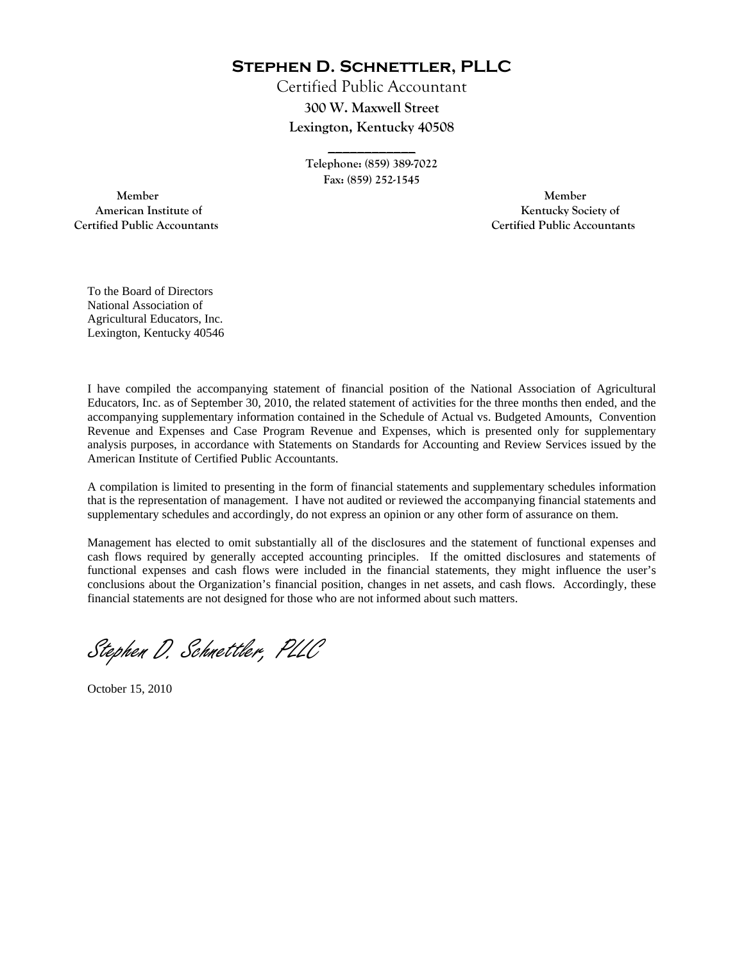**Stephen D. Schnettler, PLLC**

Certified Public Accountant **300 W. Maxwell Street Lexington, Kentucky 40508** 

> **Telephone: (859) 389-7022 Fax: (859) 252-1545**

**\_\_\_\_\_\_\_\_\_\_\_\_** 

 **Member Member Certified Public Accountants Certified Public Accountants** 

American Institute of **Kentucky Society of** 

To the Board of Directors National Association of Agricultural Educators, Inc. Lexington, Kentucky 40546

I have compiled the accompanying statement of financial position of the National Association of Agricultural Educators, Inc. as of September 30, 2010, the related statement of activities for the three months then ended, and the accompanying supplementary information contained in the Schedule of Actual vs. Budgeted Amounts, Convention Revenue and Expenses and Case Program Revenue and Expenses, which is presented only for supplementary analysis purposes, in accordance with Statements on Standards for Accounting and Review Services issued by the American Institute of Certified Public Accountants.

A compilation is limited to presenting in the form of financial statements and supplementary schedules information that is the representation of management. I have not audited or reviewed the accompanying financial statements and supplementary schedules and accordingly, do not express an opinion or any other form of assurance on them.

Management has elected to omit substantially all of the disclosures and the statement of functional expenses and cash flows required by generally accepted accounting principles. If the omitted disclosures and statements of functional expenses and cash flows were included in the financial statements, they might influence the user's conclusions about the Organization's financial position, changes in net assets, and cash flows. Accordingly, these financial statements are not designed for those who are not informed about such matters.

Stephen D. Schnettler, PLLC

October 15, 2010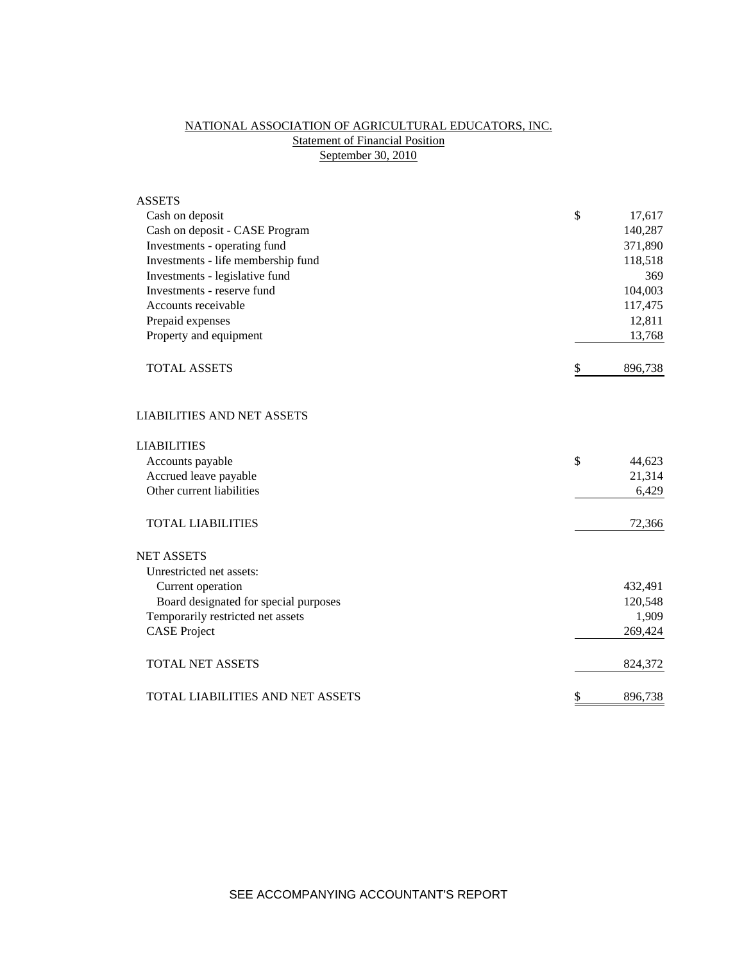# NATIONAL ASSOCIATION OF AGRICULTURAL EDUCATORS, INC. **Statement of Financial Position** September 30, 2010

| <b>ASSETS</b>                         |               |
|---------------------------------------|---------------|
| Cash on deposit                       | \$<br>17,617  |
| Cash on deposit - CASE Program        | 140,287       |
| Investments - operating fund          | 371,890       |
| Investments - life membership fund    | 118,518       |
| Investments - legislative fund        | 369           |
| Investments - reserve fund            | 104,003       |
| Accounts receivable                   | 117,475       |
| Prepaid expenses                      | 12,811        |
| Property and equipment                | 13,768        |
| <b>TOTAL ASSETS</b>                   | \$<br>896,738 |
| <b>LIABILITIES AND NET ASSETS</b>     |               |
| <b>LIABILITIES</b>                    |               |
| Accounts payable                      | \$<br>44,623  |
| Accrued leave payable                 | 21,314        |
| Other current liabilities             | 6,429         |
| <b>TOTAL LIABILITIES</b>              | 72,366        |
| <b>NET ASSETS</b>                     |               |
| Unrestricted net assets:              |               |
| Current operation                     | 432,491       |
| Board designated for special purposes | 120,548       |
| Temporarily restricted net assets     | 1,909         |
| <b>CASE Project</b>                   | 269,424       |
| <b>TOTAL NET ASSETS</b>               | 824,372       |
| TOTAL LIABILITIES AND NET ASSETS      | \$<br>896,738 |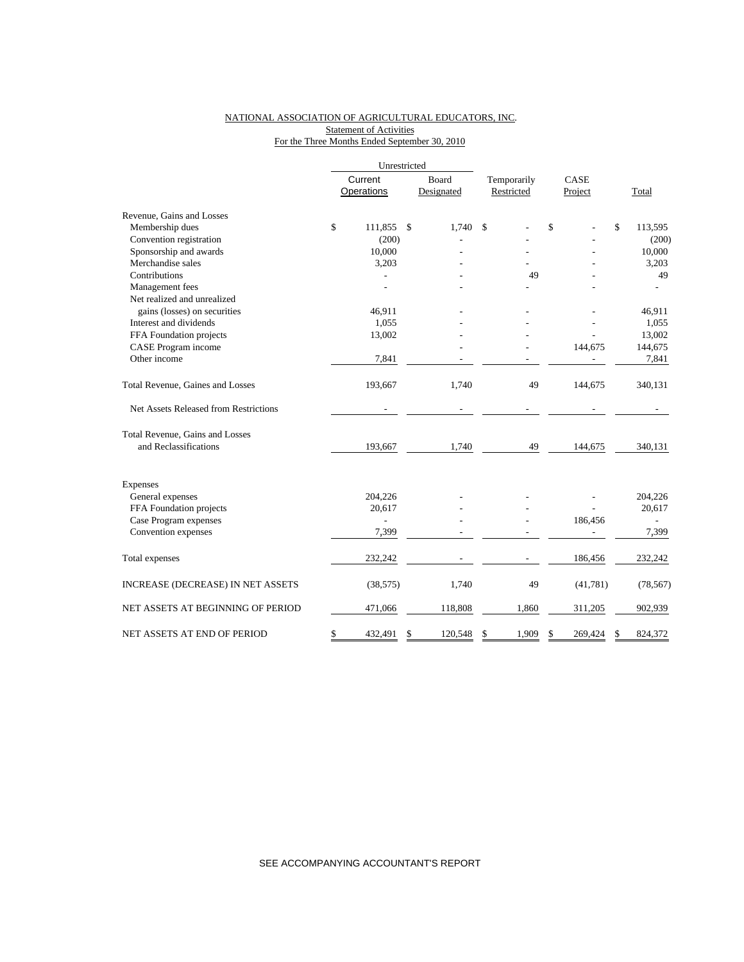### NATIONAL ASSOCIATION OF AGRICULTURAL EDUCATORS, INC. **Statement of Activities** For the Three Months Ended September 30, 2010

|                                       |         | Unrestricted      |               |             |            |               |               |
|---------------------------------------|---------|-------------------|---------------|-------------|------------|---------------|---------------|
|                                       | Current |                   | Board         | Temporarily |            | CASE          |               |
|                                       |         | <b>Operations</b> | Designated    |             | Restricted | Project       | Total         |
| Revenue, Gains and Losses             |         |                   |               |             |            |               |               |
| Membership dues                       | \$      | 111,855           | \$<br>1.740   | \$          |            | \$            | \$<br>113,595 |
| Convention registration               |         | (200)             |               |             |            |               | (200)         |
| Sponsorship and awards                |         | 10,000            |               |             |            |               | 10,000        |
| Merchandise sales                     |         | 3,203             |               |             |            |               | 3,203         |
| Contributions                         |         |                   |               |             | 49         |               | 49            |
| Management fees                       |         |                   |               |             |            |               |               |
| Net realized and unrealized           |         |                   |               |             |            |               |               |
| gains (losses) on securities          |         | 46,911            |               |             |            |               | 46,911        |
| Interest and dividends                |         | 1,055             |               |             |            |               | 1,055         |
| FFA Foundation projects               |         | 13,002            |               |             |            |               | 13,002        |
| CASE Program income                   |         |                   |               |             |            | 144,675       | 144,675       |
| Other income                          |         | 7,841             |               |             |            |               | 7,841         |
| Total Revenue, Gaines and Losses      |         | 193,667           | 1,740         |             | 49         | 144,675       | 340,131       |
| Net Assets Released from Restrictions |         |                   |               |             |            |               |               |
| Total Revenue, Gains and Losses       |         |                   |               |             |            |               |               |
| and Reclassifications                 |         | 193,667           | 1,740         |             | 49         | 144,675       | 340,131       |
| Expenses                              |         |                   |               |             |            |               |               |
| General expenses                      |         | 204,226           |               |             |            |               | 204,226       |
| FFA Foundation projects               |         | 20,617            |               |             |            |               | 20,617        |
| Case Program expenses                 |         | $\overline{a}$    |               |             |            | 186,456       |               |
| Convention expenses                   |         | 7,399             |               |             |            |               | 7,399         |
| Total expenses                        |         | 232,242           |               |             |            | 186,456       | 232,242       |
| INCREASE (DECREASE) IN NET ASSETS     |         | (38, 575)         | 1,740         |             | 49         | (41, 781)     | (78, 567)     |
| NET ASSETS AT BEGINNING OF PERIOD     |         | 471,066           | 118,808       |             | 1,860      | 311,205       | 902,939       |
| NET ASSETS AT END OF PERIOD           | \$      | 432,491           | \$<br>120,548 | \$          | 1,909      | \$<br>269,424 | \$<br>824,372 |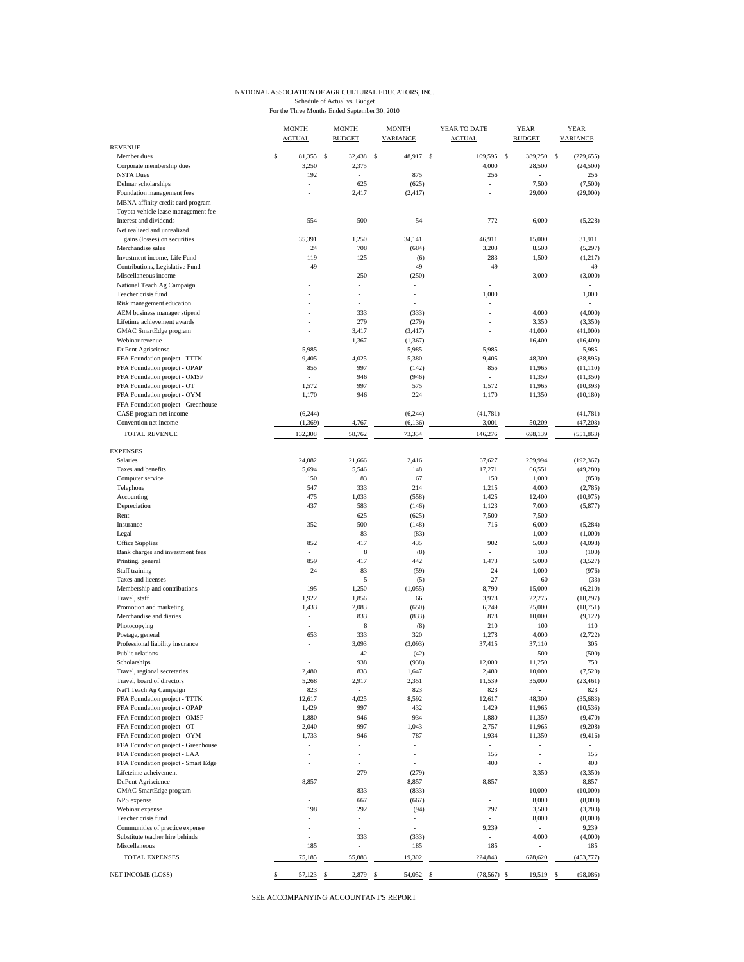#### NATIONAL ASSOCIATION OF AGRICULTURAL EDUCATORS, INC.

Schedule of Actual vs. Budget<br>For the Three Months Ended September 30, 2010

| <b>REVENUE</b>                                               | <b>MONTH</b><br><b>ACTUAL</b> |   | <b>MONTH</b><br><b>BUDGET</b> |      | <b>MONTH</b><br>VARIANCE |          | YEAR TO DATE<br><b>ACTUAL</b> |               | <b>YEAR</b><br><b>BUDGET</b> |   | <b>YEAR</b><br><b>VARIANCE</b> |
|--------------------------------------------------------------|-------------------------------|---|-------------------------------|------|--------------------------|----------|-------------------------------|---------------|------------------------------|---|--------------------------------|
| Member dues                                                  | \$<br>81,355                  | s | 32,438                        | - \$ | 48,917                   | <b>S</b> | 109,595                       | <sup>\$</sup> | 389,250                      | s | (279, 655)                     |
| Corporate membership dues                                    | 3,250                         |   | 2,375                         |      |                          |          | 4,000                         |               | 28,500                       |   | (24,500)                       |
| <b>NSTA Dues</b>                                             | 192                           |   | ÷,                            |      | 875                      |          | 256                           |               |                              |   | 256                            |
| Delmar scholarships                                          |                               |   | 625                           |      | (625)                    |          |                               |               | 7,500                        |   | (7,500)                        |
| Foundation management fees                                   |                               |   | 2,417                         |      | (2, 417)                 |          |                               |               | 29,000                       |   | (29,000)                       |
| MBNA affinity credit card program                            |                               |   |                               |      |                          |          |                               |               |                              |   |                                |
| Toyota vehicle lease management fee                          |                               |   | ÷.                            |      | ä,                       |          |                               |               |                              |   |                                |
| Interest and dividends<br>Net realized and unrealized        | 554                           |   | 500                           |      | 54                       |          | 772                           |               | 6,000                        |   | (5,228)                        |
| gains (losses) on securities                                 | 35,391                        |   | 1,250                         |      | 34,141                   |          | 46,911                        |               | 15,000                       |   | 31,911                         |
| Merchandise sales                                            | 24                            |   | 708                           |      | (684)                    |          | 3,203                         |               | 8,500                        |   | (5,297)                        |
| Investment income, Life Fund                                 | 119                           |   | 125                           |      | (6)                      |          | 283                           |               | 1,500                        |   | (1, 217)                       |
| Contributions, Legislative Fund                              | 49                            |   | ä,                            |      | 49                       |          | 49                            |               |                              |   | 49                             |
| Miscellaneous income                                         |                               |   | 250                           |      | (250)                    |          | $\overline{\phantom{a}}$      |               | 3,000                        |   | (3,000)                        |
| National Teach Ag Campaign                                   |                               |   | ÷,                            |      |                          |          |                               |               |                              |   |                                |
| Teacher crisis fund                                          |                               |   | $\overline{\phantom{a}}$      |      | ÷,                       |          | 1,000                         |               |                              |   | 1,000                          |
| Risk management education                                    |                               |   | ÷,                            |      |                          |          |                               |               |                              |   |                                |
| AEM business manager stipend                                 |                               |   | 333                           |      | (333)                    |          |                               |               | 4,000                        |   | (4,000)                        |
| Lifetime achievement awards                                  |                               |   | 279                           |      | (279)                    |          |                               |               | 3,350                        |   | (3,350)                        |
| GMAC SmartEdge program                                       |                               |   | 3,417                         |      | (3, 417)                 |          | $\overline{\phantom{a}}$      |               | 41,000                       |   | (41,000)                       |
| Webinar revenue<br>DuPont Agrisciense                        | 5,985                         |   | 1,367<br>÷.                   |      | (1, 367)<br>5,985        |          | 5,985                         |               | 16,400                       |   | (16, 400)<br>5,985             |
| FFA Foundation project - TTTK                                | 9,405                         |   | 4,025                         |      | 5,380                    |          | 9,405                         |               | 48,300                       |   | (38, 895)                      |
| FFA Foundation project - OPAP                                | 855                           |   | 997                           |      | (142)                    |          | 855                           |               | 11,965                       |   | (11, 110)                      |
| FFA Foundation project - OMSP                                | ä,                            |   | 946                           |      | (946)                    |          | ÷                             |               | 11,350                       |   | (11,350)                       |
| FFA Foundation project - OT                                  | 1,572                         |   | 997                           |      | 575                      |          | 1,572                         |               | 11,965                       |   | (10, 393)                      |
| FFA Foundation project - OYM                                 | 1,170                         |   | 946                           |      | 224                      |          | 1,170                         |               | 11,350                       |   | (10, 180)                      |
| FFA Foundation project - Greenhouse                          | ٠                             |   | $\overline{\phantom{a}}$      |      |                          |          | $\sim$                        |               | ÷,                           |   |                                |
| CASE program net income                                      | (6, 244)                      |   | ÷.                            |      | (6, 244)                 |          | (41, 781)                     |               |                              |   | (41, 781)                      |
| Convention net income                                        | (1, 369)                      |   | 4,767                         |      | (6, 136)                 |          | 3,001                         |               | 50,209                       |   | (47,208)                       |
| <b>TOTAL REVENUE</b>                                         | 132,308                       |   | 58,762                        |      | 73,354                   |          | 146,276                       |               | 698,139                      |   | (551, 863)                     |
| <b>EXPENSES</b>                                              |                               |   |                               |      |                          |          |                               |               |                              |   |                                |
| <b>Salaries</b>                                              | 24.082                        |   | 21,666                        |      | 2,416                    |          | 67,627                        |               | 259,994                      |   | (192, 367)                     |
| Taxes and benefits                                           | 5,694                         |   | 5,546                         |      | 148                      |          | 17,271                        |               | 66,551                       |   | (49, 280)                      |
| Computer service                                             | 150                           |   | 83                            |      | 67                       |          | 150                           |               | 1,000                        |   | (850)                          |
| Telephone                                                    | 547                           |   | 333                           |      | 214                      |          | 1,215                         |               | 4,000                        |   | (2,785)                        |
| Accounting                                                   | 475<br>437                    |   | 1,033                         |      | (558)                    |          | 1,425                         |               | 12,400                       |   | (10, 975)                      |
| Depreciation<br>Rent                                         | $\bar{a}$                     |   | 583<br>625                    |      | (146)                    |          | 1,123<br>7,500                |               | 7,000                        |   | (5, 877)<br>÷                  |
| Insurance                                                    | 352                           |   | 500                           |      | (625)<br>(148)           |          | 716                           |               | 7,500<br>6,000               |   | (5,284)                        |
| Legal                                                        |                               |   | 83                            |      | (83)                     |          |                               |               | 1,000                        |   | (1,000)                        |
| Office Supplies                                              | 852                           |   | 417                           |      | 435                      |          | 902                           |               | 5,000                        |   | (4,098)                        |
| Bank charges and investment fees                             | ä,                            |   | 8                             |      | (8)                      |          |                               |               | 100                          |   | (100)                          |
| Printing, general                                            | 859                           |   | 417                           |      | 442                      |          | 1,473                         |               | 5,000                        |   | (3,527)                        |
| Staff training                                               | 24                            |   | 83                            |      | (59)                     |          | 24                            |               | 1,000                        |   | (976)                          |
| Taxes and licenses                                           | ä,                            |   | 5                             |      | (5)                      |          | 27                            |               | 60                           |   | (33)                           |
| Membership and contributions                                 | 195                           |   | 1,250                         |      | (1,055)                  |          | 8,790                         |               | 15,000                       |   | (6,210)                        |
| Travel, staff                                                | 1,922                         |   | 1,856                         |      | 66                       |          | 3,978                         |               | 22,275                       |   | (18, 297)                      |
| Promotion and marketing                                      | 1,433                         |   | 2,083                         |      | (650)                    |          | 6,249                         |               | 25,000                       |   | (18, 751)                      |
| Merchandise and diaries                                      | ÷,                            |   | 833                           |      | (833)                    |          | 878                           |               | 10,000                       |   | (9, 122)                       |
| Photocopying                                                 | 653                           |   | 8<br>333                      |      | (8)<br>320               |          | 210<br>1,278                  |               | 100                          |   | 110<br>(2, 722)                |
| Postage, general<br>Professional liability insurance         |                               |   | 3,093                         |      | (3,093)                  |          | 37.415                        |               | 4,000<br>37,110              |   | 305                            |
| Public relations                                             | ÷,                            |   | 42                            |      | (42)                     |          |                               |               | 500                          |   | (500)                          |
| Scholarships                                                 |                               |   | 938                           |      | (938)                    |          | 12,000                        |               | 11,250                       |   | 750                            |
| Travel, regional secretaries                                 | 2,480                         |   | 833                           |      | 1,647                    |          | 2,480                         |               | 10,000                       |   | (7,520)                        |
| Travel, board of directors                                   | 5,268                         |   | 2,917                         |      | 2,351                    |          | 11,539                        |               | 35,000                       |   | (23, 461)                      |
| Nat'l Teach Ag Campaign                                      | 823                           |   | ä,                            |      | 823                      |          | 823                           |               | $\overline{\phantom{a}}$     |   | 823                            |
| FFA Foundation project - TTTK                                | 12,617                        |   | 4,025                         |      | 8,592                    |          | 12,617                        |               | 48,300                       |   | (35, 683)                      |
| FFA Foundation project - OPAP                                | 1,429                         |   | 997                           |      | 432                      |          | 1,429                         |               | 11,965                       |   | (10, 536)                      |
| FFA Foundation project - OMSP                                | 1,880                         |   | 946                           |      | 934                      |          | 1,880                         |               | 11,350                       |   | (9, 470)                       |
| FFA Foundation project - OT                                  | 2,040                         |   | 997                           |      | 1,043                    |          | 2,757                         |               | 11,965                       |   | (9,208)                        |
| FFA Foundation project - OYM                                 | 1,733                         |   | 946                           |      | 787                      |          | 1,934                         |               | 11,350                       |   | (9, 416)                       |
| FFA Foundation project - Greenhouse                          |                               |   |                               |      |                          |          |                               |               |                              |   |                                |
| FFA Foundation project - LAA                                 | ä,                            |   | $\bar{a}$                     |      | $\bar{a} = \bar{b}$      |          | 155                           |               | $\overline{\phantom{a}}$     |   | 155                            |
| FFA Foundation project - Smart Edge<br>Lifeteime acheivement |                               |   | 279                           |      | (279)                    |          | 400<br>$\sim$                 |               | 3,350                        |   | 400<br>(3,350)                 |
| <b>DuPont Agriscience</b>                                    | 8,857                         |   |                               |      | 8,857                    |          | 8,857                         |               |                              |   | 8,857                          |
| <b>GMAC</b> SmartEdge program                                | $\frac{1}{2}$                 |   | 833                           |      | (833)                    |          | $\overline{\phantom{a}}$      |               | 10,000                       |   | (10,000)                       |
| NPS expense                                                  |                               |   | 667                           |      | (667)                    |          |                               |               | 8,000                        |   | (8,000)                        |
| Webinar expense                                              | 198                           |   | 292                           |      | (94)                     |          | 297                           |               | 3,500                        |   | (3,203)                        |
| Teacher crisis fund                                          |                               |   |                               |      |                          |          |                               |               | 8,000                        |   | (8,000)                        |
| Communities of practice expense                              |                               |   | ä,                            |      |                          |          | 9,239                         |               | ÷,                           |   | 9,239                          |
| Substitute teacher hire behinds                              |                               |   | 333                           |      | (333)                    |          |                               |               | 4,000                        |   | (4,000)                        |
| Miscellaneous                                                | 185                           |   | ÷,                            |      | 185                      |          | 185                           |               | ÷,                           |   | 185                            |
| TOTAL EXPENSES<br>NET INCOME (LOSS)                          | \$<br>75,185<br>57,123 \$     |   | 55,883<br>2,879 \$            |      | 19,302<br>54,052 \$      |          | 224,843<br>$(78,567)$ \$      |               | 678,620<br>19,519 \$         |   | (453, 777)<br>(98,086)         |
|                                                              |                               |   |                               |      |                          |          |                               |               |                              |   |                                |

SEE ACCOMPANYING ACCOUNTANT'S REPORT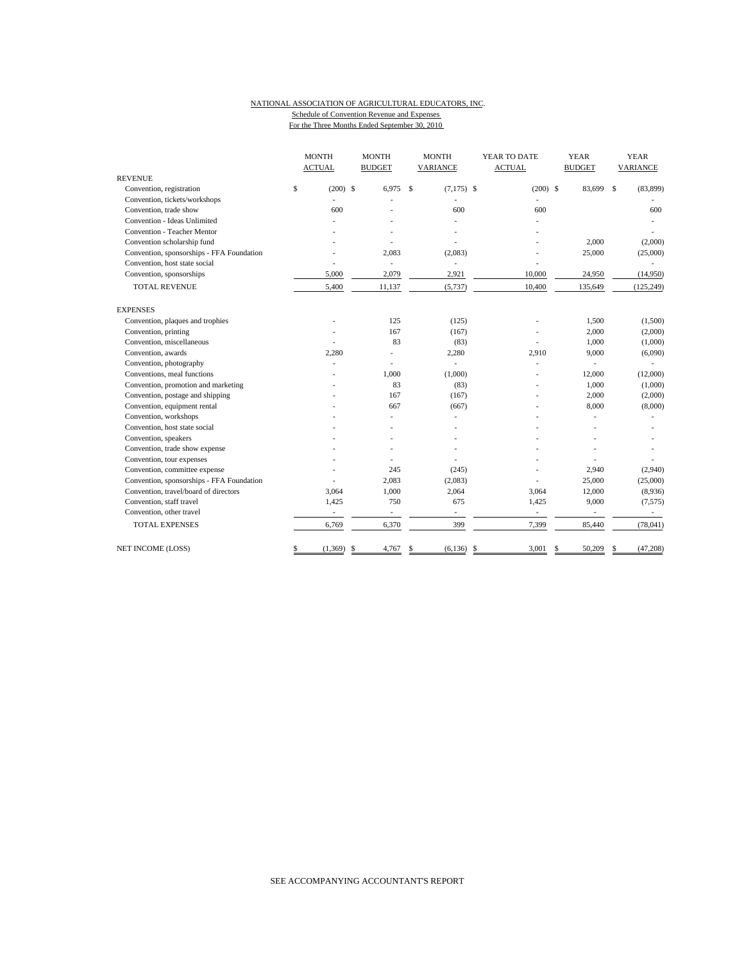### NATIONAL ASSOCIATION OF AGRICULTURAL EDUCATORS, INC. Schedule of Convention Revenue and Expenses

For the Three Months Ended September 30, 2010

|                                           | <b>MONTH</b>             |            | <b>MONTH</b><br><b>MONTH</b> |             |                          | YEAR TO DATE             |              | <b>YEAR</b>              | <b>YEAR</b> |                 |  |
|-------------------------------------------|--------------------------|------------|------------------------------|-------------|--------------------------|--------------------------|--------------|--------------------------|-------------|-----------------|--|
|                                           | <b>ACTUAL</b>            |            | <b>BUDGET</b>                |             | VARIANCE                 | <b>ACTUAL</b>            |              | <b>BUDGET</b>            |             | <b>VARIANCE</b> |  |
| <b>REVENUE</b>                            |                          |            |                              |             |                          |                          |              |                          |             |                 |  |
| Convention, registration                  | \$                       | $(200)$ \$ | 6.975                        | $\mathbf S$ | $(7,175)$ \$             | $(200)$ \$               |              | 83,699                   | $\mathbf S$ | (83,899)        |  |
| Convention, tickets/workshops             |                          |            |                              |             |                          |                          |              |                          |             |                 |  |
| Convention, trade show                    |                          | 600        |                              |             | 600                      | 600                      |              |                          |             | 600             |  |
| Convention - Ideas Unlimited              |                          |            |                              |             |                          |                          |              |                          |             |                 |  |
| <b>Convention - Teacher Mentor</b>        |                          |            |                              |             |                          |                          |              |                          |             |                 |  |
| Convention scholarship fund               |                          |            |                              |             |                          |                          |              | 2,000                    |             | (2,000)         |  |
| Convention, sponsorships - FFA Foundation |                          |            | 2,083                        |             | (2,083)                  |                          |              | 25,000                   |             | (25,000)        |  |
| Convention, host state social             |                          |            | ÷.                           |             |                          |                          |              |                          |             |                 |  |
| Convention, sponsorships                  | 5,000                    |            | 2,079                        |             | 2,921                    | 10,000                   |              | 24,950                   |             | (14,950)        |  |
| <b>TOTAL REVENUE</b>                      | 5,400                    |            | 11,137                       |             | (5,737)                  | 10,400                   |              | 135,649                  |             | (125, 249)      |  |
| <b>EXPENSES</b>                           |                          |            |                              |             |                          |                          |              |                          |             |                 |  |
| Convention, plaques and trophies          |                          |            | 125                          |             | (125)                    |                          |              | 1,500                    |             | (1,500)         |  |
| Convention, printing                      |                          |            | 167                          |             | (167)                    |                          |              | 2,000                    |             | (2,000)         |  |
| Convention, miscellaneous                 |                          |            | 83                           |             | (83)                     | L                        |              | 1,000                    |             | (1,000)         |  |
| Convention, awards                        | 2,280                    |            |                              |             | 2,280                    | 2,910                    |              | 9,000                    |             | (6,090)         |  |
| Convention, photography                   |                          |            | ٠                            |             |                          | $\overline{a}$           |              |                          |             |                 |  |
| Conventions, meal functions               |                          |            | 1,000                        |             | (1,000)                  |                          |              | 12,000                   |             | (12,000)        |  |
| Convention, promotion and marketing       |                          |            | 83                           |             | (83)                     |                          |              | 1,000                    |             | (1,000)         |  |
| Convention, postage and shipping          |                          |            | 167                          |             | (167)                    |                          |              | 2,000                    |             | (2,000)         |  |
| Convention, equipment rental              |                          |            | 667                          |             | (667)                    |                          |              | 8,000                    |             | (8,000)         |  |
| Convention, workshops                     |                          |            |                              |             |                          |                          |              |                          |             |                 |  |
| Convention, host state social             |                          |            |                              |             |                          |                          |              |                          |             |                 |  |
| Convention, speakers                      |                          |            |                              |             |                          |                          |              |                          |             |                 |  |
| Convention, trade show expense            |                          |            |                              |             | ٠                        |                          |              |                          |             |                 |  |
| Convention, tour expenses                 |                          |            |                              |             |                          |                          |              |                          |             |                 |  |
| Convention, committee expense             |                          |            | 245                          |             | (245)                    |                          |              | 2,940                    |             | (2,940)         |  |
| Convention, sponsorships - FFA Foundation |                          |            | 2,083                        |             | (2,083)                  |                          |              | 25,000                   |             | (25,000)        |  |
| Convention, travel/board of directors     | 3,064                    |            | 1,000                        |             | 2,064                    | 3,064                    |              | 12,000                   |             | (8,936)         |  |
| Convention, staff travel                  | 1,425                    |            | 750                          |             | 675                      | 1.425                    |              | 9,000                    |             | (7, 575)        |  |
| Convention, other travel                  | $\overline{\phantom{a}}$ |            | $\overline{\phantom{a}}$     |             | $\overline{\phantom{a}}$ | $\overline{\phantom{a}}$ |              | $\overline{\phantom{a}}$ |             |                 |  |
| <b>TOTAL EXPENSES</b>                     | 6,769                    |            | 6,370                        |             | 399                      | 7,399                    |              | 85,440                   |             | (78, 041)       |  |
| <b>NET INCOME (LOSS)</b>                  | \$<br>(1,369)            |            | \$<br>4,767                  | \$          | $(6,136)$ \$             | 3.001                    | $\mathbf{s}$ | 50,209                   | \$          | (47,208)        |  |